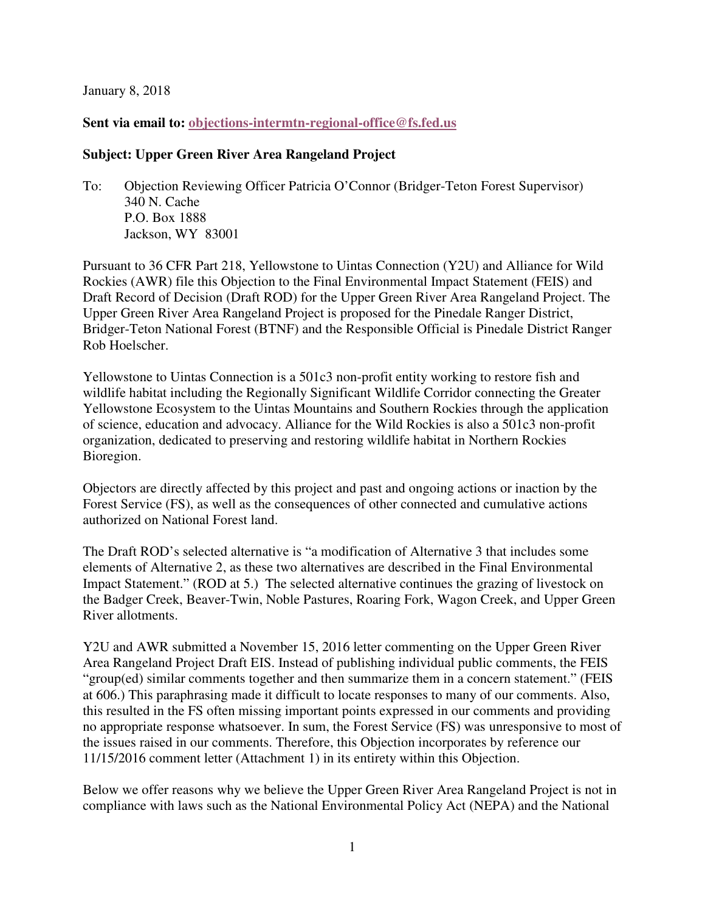January 8, 2018

#### **Sent via email to: objections-intermtn-regional-office@fs.fed.us**

#### **Subject: Upper Green River Area Rangeland Project**

To: Objection Reviewing Officer Patricia O'Connor (Bridger-Teton Forest Supervisor) 340 N. Cache P.O. Box 1888 Jackson, WY 83001

Pursuant to 36 CFR Part 218, Yellowstone to Uintas Connection (Y2U) and Alliance for Wild Rockies (AWR) file this Objection to the Final Environmental Impact Statement (FEIS) and Draft Record of Decision (Draft ROD) for the Upper Green River Area Rangeland Project. The Upper Green River Area Rangeland Project is proposed for the Pinedale Ranger District, Bridger-Teton National Forest (BTNF) and the Responsible Official is Pinedale District Ranger Rob Hoelscher.

Yellowstone to Uintas Connection is a 501c3 non-profit entity working to restore fish and wildlife habitat including the Regionally Significant Wildlife Corridor connecting the Greater Yellowstone Ecosystem to the Uintas Mountains and Southern Rockies through the application of science, education and advocacy. Alliance for the Wild Rockies is also a 501c3 non-profit organization, dedicated to preserving and restoring wildlife habitat in Northern Rockies Bioregion.

Objectors are directly affected by this project and past and ongoing actions or inaction by the Forest Service (FS), as well as the consequences of other connected and cumulative actions authorized on National Forest land.

The Draft ROD's selected alternative is "a modification of Alternative 3 that includes some elements of Alternative 2, as these two alternatives are described in the Final Environmental Impact Statement." (ROD at 5.) The selected alternative continues the grazing of livestock on the Badger Creek, Beaver-Twin, Noble Pastures, Roaring Fork, Wagon Creek, and Upper Green River allotments.

Y2U and AWR submitted a November 15, 2016 letter commenting on the Upper Green River Area Rangeland Project Draft EIS. Instead of publishing individual public comments, the FEIS "group(ed) similar comments together and then summarize them in a concern statement." (FEIS at 606.) This paraphrasing made it difficult to locate responses to many of our comments. Also, this resulted in the FS often missing important points expressed in our comments and providing no appropriate response whatsoever. In sum, the Forest Service (FS) was unresponsive to most of the issues raised in our comments. Therefore, this Objection incorporates by reference our 11/15/2016 comment letter (Attachment 1) in its entirety within this Objection.

Below we offer reasons why we believe the Upper Green River Area Rangeland Project is not in compliance with laws such as the National Environmental Policy Act (NEPA) and the National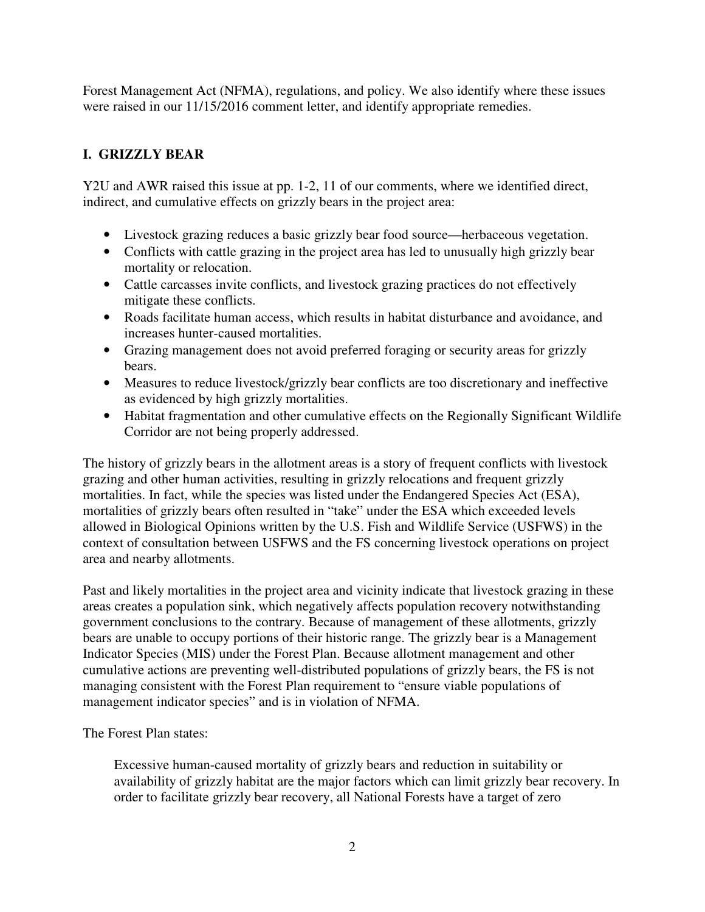Forest Management Act (NFMA), regulations, and policy. We also identify where these issues were raised in our  $11/15/2016$  comment letter, and identify appropriate remedies.

# **I. GRIZZLY BEAR**

Y2U and AWR raised this issue at pp. 1-2, 11 of our comments, where we identified direct, indirect, and cumulative effects on grizzly bears in the project area:

- Livestock grazing reduces a basic grizzly bear food source—herbaceous vegetation.
- Conflicts with cattle grazing in the project area has led to unusually high grizzly bear mortality or relocation.
- Cattle carcasses invite conflicts, and livestock grazing practices do not effectively mitigate these conflicts.
- Roads facilitate human access, which results in habitat disturbance and avoidance, and increases hunter-caused mortalities.
- Grazing management does not avoid preferred foraging or security areas for grizzly bears.
- Measures to reduce livestock/grizzly bear conflicts are too discretionary and ineffective as evidenced by high grizzly mortalities.
- Habitat fragmentation and other cumulative effects on the Regionally Significant Wildlife Corridor are not being properly addressed.

The history of grizzly bears in the allotment areas is a story of frequent conflicts with livestock grazing and other human activities, resulting in grizzly relocations and frequent grizzly mortalities. In fact, while the species was listed under the Endangered Species Act (ESA), mortalities of grizzly bears often resulted in "take" under the ESA which exceeded levels allowed in Biological Opinions written by the U.S. Fish and Wildlife Service (USFWS) in the context of consultation between USFWS and the FS concerning livestock operations on project area and nearby allotments.

Past and likely mortalities in the project area and vicinity indicate that livestock grazing in these areas creates a population sink, which negatively affects population recovery notwithstanding government conclusions to the contrary. Because of management of these allotments, grizzly bears are unable to occupy portions of their historic range. The grizzly bear is a Management Indicator Species (MIS) under the Forest Plan. Because allotment management and other cumulative actions are preventing well-distributed populations of grizzly bears, the FS is not managing consistent with the Forest Plan requirement to "ensure viable populations of management indicator species" and is in violation of NFMA.

The Forest Plan states:

Excessive human-caused mortality of grizzly bears and reduction in suitability or availability of grizzly habitat are the major factors which can limit grizzly bear recovery. In order to facilitate grizzly bear recovery, all National Forests have a target of zero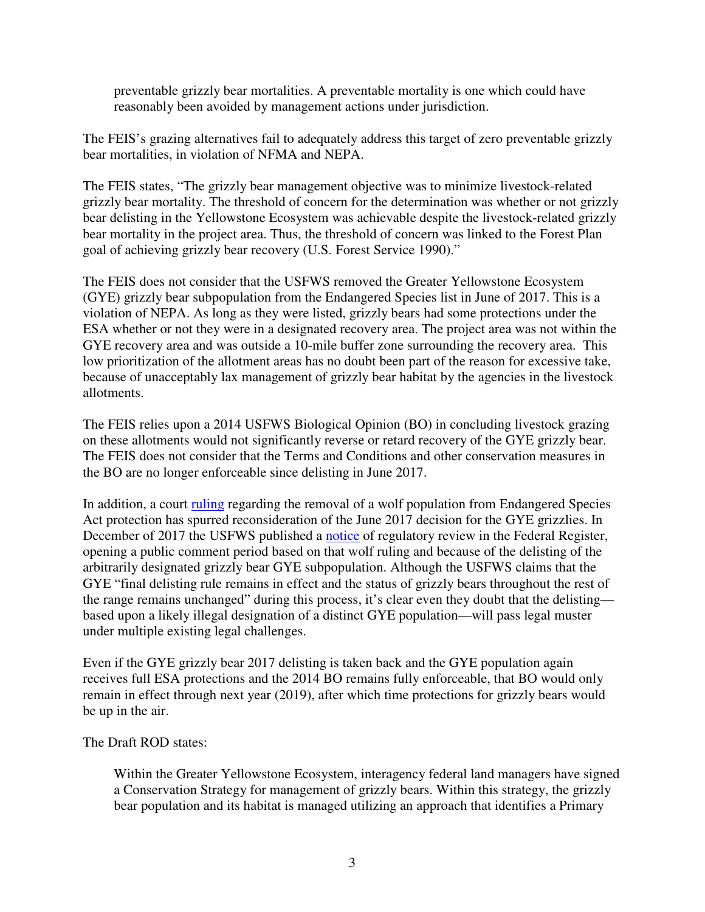preventable grizzly bear mortalities. A preventable mortality is one which could have reasonably been avoided by management actions under jurisdiction.

The FEIS's grazing alternatives fail to adequately address this target of zero preventable grizzly bear mortalities, in violation of NFMA and NEPA.

The FEIS states, "The grizzly bear management objective was to minimize livestock-related grizzly bear mortality. The threshold of concern for the determination was whether or not grizzly bear delisting in the Yellowstone Ecosystem was achievable despite the livestock-related grizzly bear mortality in the project area. Thus, the threshold of concern was linked to the Forest Plan goal of achieving grizzly bear recovery (U.S. Forest Service 1990)."

The FEIS does not consider that the USFWS removed the Greater Yellowstone Ecosystem (GYE) grizzly bear subpopulation from the Endangered Species list in June of 2017. This is a violation of NEPA. As long as they were listed, grizzly bears had some protections under the ESA whether or not they were in a designated recovery area. The project area was not within the GYE recovery area and was outside a 10-mile buffer zone surrounding the recovery area. This low prioritization of the allotment areas has no doubt been part of the reason for excessive take, because of unacceptably lax management of grizzly bear habitat by the agencies in the livestock allotments.

The FEIS relies upon a 2014 USFWS Biological Opinion (BO) in concluding livestock grazing on these allotments would not significantly reverse or retard recovery of the GYE grizzly bear. The FEIS does not consider that the Terms and Conditions and other conservation measures in the BO are no longer enforceable since delisting in June 2017.

In addition, a court ruling regarding the removal of a wolf population from Endangered Species Act protection has spurred reconsideration of the June 2017 decision for the GYE grizzlies. In December of 2017 the USFWS published a notice of regulatory review in the Federal Register, opening a public comment period based on that wolf ruling and because of the delisting of the arbitrarily designated grizzly bear GYE subpopulation. Although the USFWS claims that the GYE "final delisting rule remains in effect and the status of grizzly bears throughout the rest of the range remains unchanged" during this process, it's clear even they doubt that the delisting based upon a likely illegal designation of a distinct GYE population—will pass legal muster under multiple existing legal challenges.

Even if the GYE grizzly bear 2017 delisting is taken back and the GYE population again receives full ESA protections and the 2014 BO remains fully enforceable, that BO would only remain in effect through next year (2019), after which time protections for grizzly bears would be up in the air.

#### The Draft ROD states:

Within the Greater Yellowstone Ecosystem, interagency federal land managers have signed a Conservation Strategy for management of grizzly bears. Within this strategy, the grizzly bear population and its habitat is managed utilizing an approach that identifies a Primary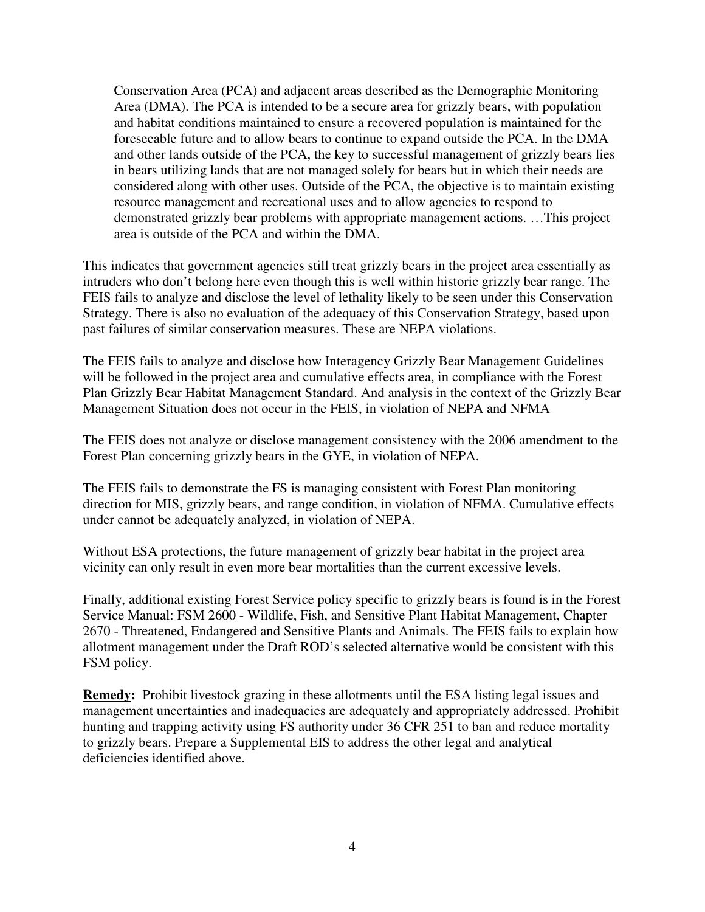Conservation Area (PCA) and adjacent areas described as the Demographic Monitoring Area (DMA). The PCA is intended to be a secure area for grizzly bears, with population and habitat conditions maintained to ensure a recovered population is maintained for the foreseeable future and to allow bears to continue to expand outside the PCA. In the DMA and other lands outside of the PCA, the key to successful management of grizzly bears lies in bears utilizing lands that are not managed solely for bears but in which their needs are considered along with other uses. Outside of the PCA, the objective is to maintain existing resource management and recreational uses and to allow agencies to respond to demonstrated grizzly bear problems with appropriate management actions. …This project area is outside of the PCA and within the DMA.

This indicates that government agencies still treat grizzly bears in the project area essentially as intruders who don't belong here even though this is well within historic grizzly bear range. The FEIS fails to analyze and disclose the level of lethality likely to be seen under this Conservation Strategy. There is also no evaluation of the adequacy of this Conservation Strategy, based upon past failures of similar conservation measures. These are NEPA violations.

The FEIS fails to analyze and disclose how Interagency Grizzly Bear Management Guidelines will be followed in the project area and cumulative effects area, in compliance with the Forest Plan Grizzly Bear Habitat Management Standard. And analysis in the context of the Grizzly Bear Management Situation does not occur in the FEIS, in violation of NEPA and NFMA

The FEIS does not analyze or disclose management consistency with the 2006 amendment to the Forest Plan concerning grizzly bears in the GYE, in violation of NEPA.

The FEIS fails to demonstrate the FS is managing consistent with Forest Plan monitoring direction for MIS, grizzly bears, and range condition, in violation of NFMA. Cumulative effects under cannot be adequately analyzed, in violation of NEPA.

Without ESA protections, the future management of grizzly bear habitat in the project area vicinity can only result in even more bear mortalities than the current excessive levels.

Finally, additional existing Forest Service policy specific to grizzly bears is found is in the Forest Service Manual: FSM 2600 - Wildlife, Fish, and Sensitive Plant Habitat Management, Chapter 2670 - Threatened, Endangered and Sensitive Plants and Animals. The FEIS fails to explain how allotment management under the Draft ROD's selected alternative would be consistent with this FSM policy.

**Remedy:** Prohibit livestock grazing in these allotments until the ESA listing legal issues and management uncertainties and inadequacies are adequately and appropriately addressed. Prohibit hunting and trapping activity using FS authority under 36 CFR 251 to ban and reduce mortality to grizzly bears. Prepare a Supplemental EIS to address the other legal and analytical deficiencies identified above.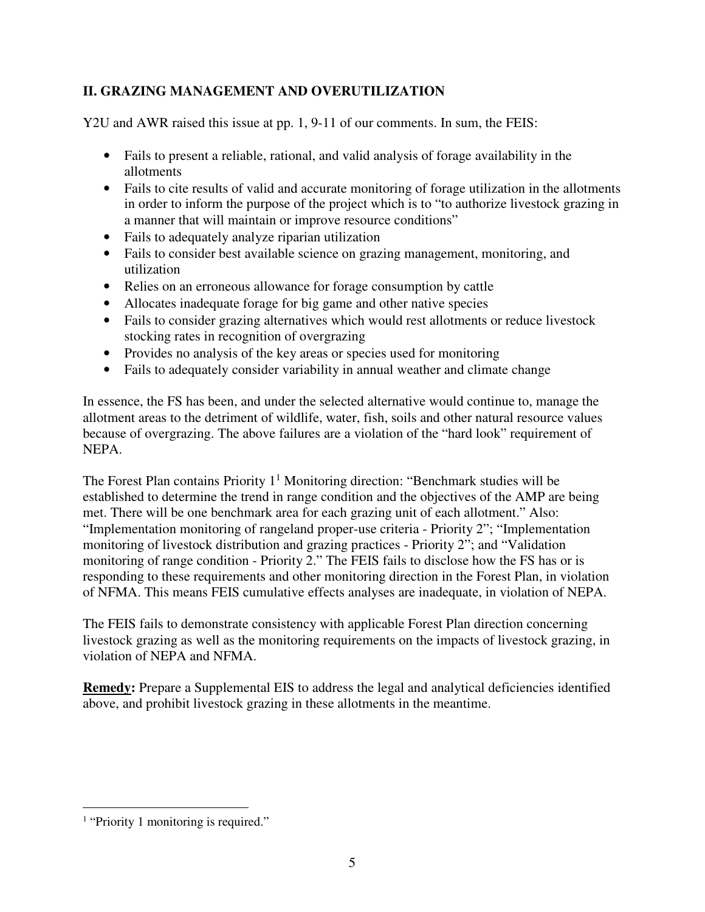## **II. GRAZING MANAGEMENT AND OVERUTILIZATION**

Y2U and AWR raised this issue at pp. 1, 9-11 of our comments. In sum, the FEIS:

- Fails to present a reliable, rational, and valid analysis of forage availability in the allotments
- Fails to cite results of valid and accurate monitoring of forage utilization in the allotments in order to inform the purpose of the project which is to "to authorize livestock grazing in a manner that will maintain or improve resource conditions"
- Fails to adequately analyze riparian utilization
- Fails to consider best available science on grazing management, monitoring, and utilization
- Relies on an erroneous allowance for forage consumption by cattle
- Allocates inadequate forage for big game and other native species
- Fails to consider grazing alternatives which would rest allotments or reduce livestock stocking rates in recognition of overgrazing
- Provides no analysis of the key areas or species used for monitoring
- Fails to adequately consider variability in annual weather and climate change

In essence, the FS has been, and under the selected alternative would continue to, manage the allotment areas to the detriment of wildlife, water, fish, soils and other natural resource values because of overgrazing. The above failures are a violation of the "hard look" requirement of NEPA.

The Forest Plan contains Priority  $1<sup>1</sup>$  Monitoring direction: "Benchmark studies will be established to determine the trend in range condition and the objectives of the AMP are being met. There will be one benchmark area for each grazing unit of each allotment." Also: "Implementation monitoring of rangeland proper-use criteria - Priority 2"; "Implementation monitoring of livestock distribution and grazing practices - Priority 2"; and "Validation monitoring of range condition - Priority 2." The FEIS fails to disclose how the FS has or is responding to these requirements and other monitoring direction in the Forest Plan, in violation of NFMA. This means FEIS cumulative effects analyses are inadequate, in violation of NEPA.

The FEIS fails to demonstrate consistency with applicable Forest Plan direction concerning livestock grazing as well as the monitoring requirements on the impacts of livestock grazing, in violation of NEPA and NFMA.

**Remedy:** Prepare a Supplemental EIS to address the legal and analytical deficiencies identified above, and prohibit livestock grazing in these allotments in the meantime.

<sup>-</sup><sup>1</sup> "Priority 1 monitoring is required."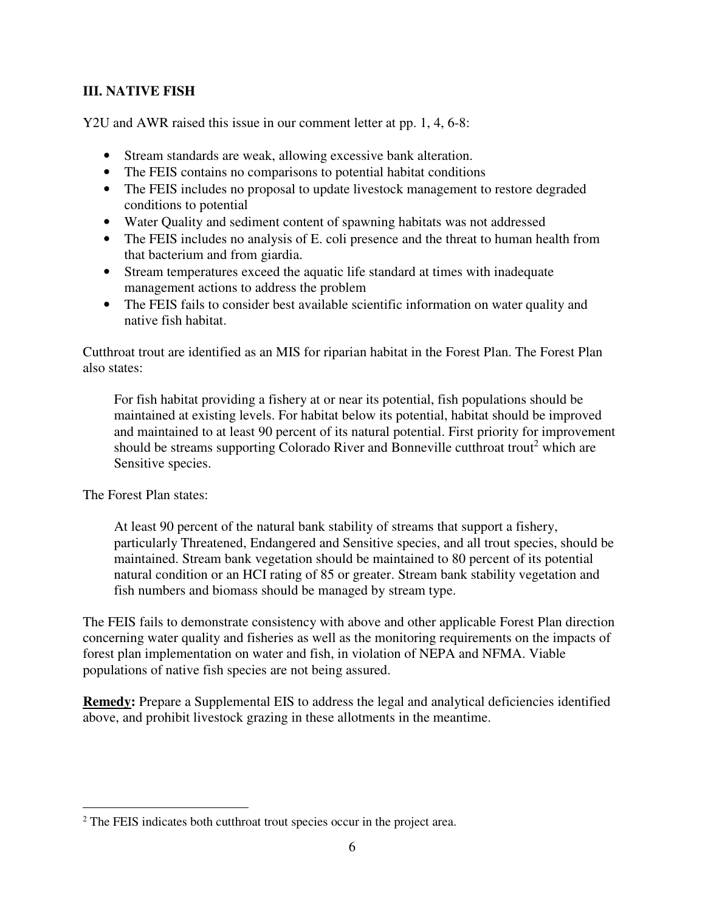#### **III. NATIVE FISH**

Y2U and AWR raised this issue in our comment letter at pp. 1, 4, 6-8:

- Stream standards are weak, allowing excessive bank alteration.
- The FEIS contains no comparisons to potential habitat conditions
- The FEIS includes no proposal to update livestock management to restore degraded conditions to potential
- Water Quality and sediment content of spawning habitats was not addressed
- The FEIS includes no analysis of E. coli presence and the threat to human health from that bacterium and from giardia.
- Stream temperatures exceed the aquatic life standard at times with inadequate management actions to address the problem
- The FEIS fails to consider best available scientific information on water quality and native fish habitat.

Cutthroat trout are identified as an MIS for riparian habitat in the Forest Plan. The Forest Plan also states:

For fish habitat providing a fishery at or near its potential, fish populations should be maintained at existing levels. For habitat below its potential, habitat should be improved and maintained to at least 90 percent of its natural potential. First priority for improvement should be streams supporting Colorado River and Bonneville cutthroat trout<sup>2</sup> which are Sensitive species.

The Forest Plan states:

At least 90 percent of the natural bank stability of streams that support a fishery, particularly Threatened, Endangered and Sensitive species, and all trout species, should be maintained. Stream bank vegetation should be maintained to 80 percent of its potential natural condition or an HCI rating of 85 or greater. Stream bank stability vegetation and fish numbers and biomass should be managed by stream type.

The FEIS fails to demonstrate consistency with above and other applicable Forest Plan direction concerning water quality and fisheries as well as the monitoring requirements on the impacts of forest plan implementation on water and fish, in violation of NEPA and NFMA. Viable populations of native fish species are not being assured.

**Remedy:** Prepare a Supplemental EIS to address the legal and analytical deficiencies identified above, and prohibit livestock grazing in these allotments in the meantime.

<sup>-</sup><sup>2</sup> The FEIS indicates both cutthroat trout species occur in the project area.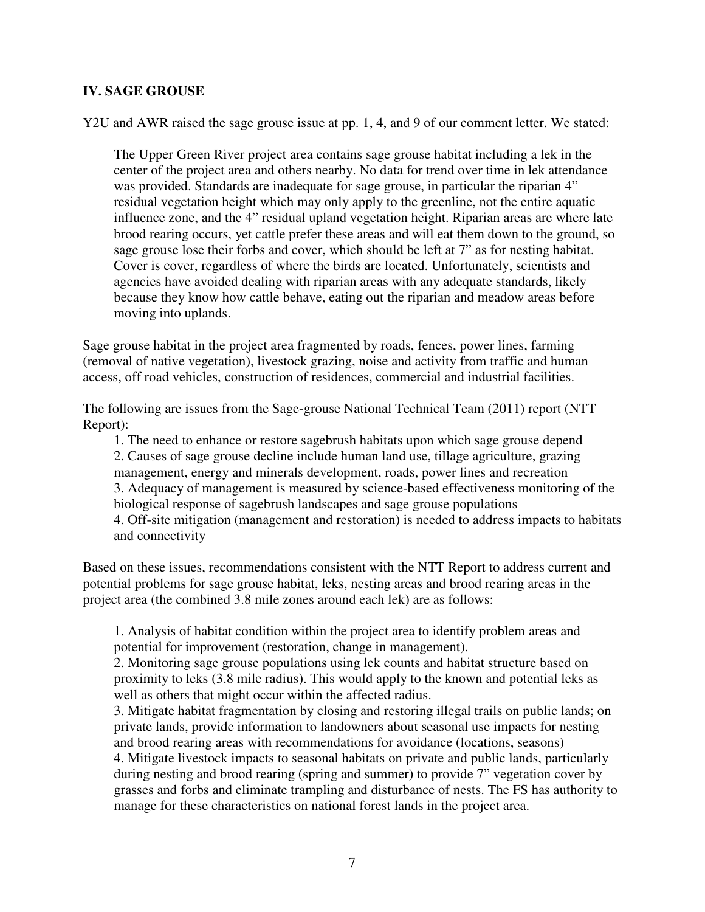#### **IV. SAGE GROUSE**

Y2U and AWR raised the sage grouse issue at pp. 1, 4, and 9 of our comment letter. We stated:

The Upper Green River project area contains sage grouse habitat including a lek in the center of the project area and others nearby. No data for trend over time in lek attendance was provided. Standards are inadequate for sage grouse, in particular the riparian 4" residual vegetation height which may only apply to the greenline, not the entire aquatic influence zone, and the 4" residual upland vegetation height. Riparian areas are where late brood rearing occurs, yet cattle prefer these areas and will eat them down to the ground, so sage grouse lose their forbs and cover, which should be left at 7" as for nesting habitat. Cover is cover, regardless of where the birds are located. Unfortunately, scientists and agencies have avoided dealing with riparian areas with any adequate standards, likely because they know how cattle behave, eating out the riparian and meadow areas before moving into uplands.

Sage grouse habitat in the project area fragmented by roads, fences, power lines, farming (removal of native vegetation), livestock grazing, noise and activity from traffic and human access, off road vehicles, construction of residences, commercial and industrial facilities.

The following are issues from the Sage-grouse National Technical Team (2011) report (NTT Report):

1. The need to enhance or restore sagebrush habitats upon which sage grouse depend 2. Causes of sage grouse decline include human land use, tillage agriculture, grazing management, energy and minerals development, roads, power lines and recreation 3. Adequacy of management is measured by science-based effectiveness monitoring of the biological response of sagebrush landscapes and sage grouse populations 4. Off-site mitigation (management and restoration) is needed to address impacts to habitats and connectivity

Based on these issues, recommendations consistent with the NTT Report to address current and potential problems for sage grouse habitat, leks, nesting areas and brood rearing areas in the project area (the combined 3.8 mile zones around each lek) are as follows:

1. Analysis of habitat condition within the project area to identify problem areas and potential for improvement (restoration, change in management).

2. Monitoring sage grouse populations using lek counts and habitat structure based on proximity to leks (3.8 mile radius). This would apply to the known and potential leks as well as others that might occur within the affected radius.

3. Mitigate habitat fragmentation by closing and restoring illegal trails on public lands; on private lands, provide information to landowners about seasonal use impacts for nesting and brood rearing areas with recommendations for avoidance (locations, seasons) 4. Mitigate livestock impacts to seasonal habitats on private and public lands, particularly during nesting and brood rearing (spring and summer) to provide 7" vegetation cover by grasses and forbs and eliminate trampling and disturbance of nests. The FS has authority to manage for these characteristics on national forest lands in the project area.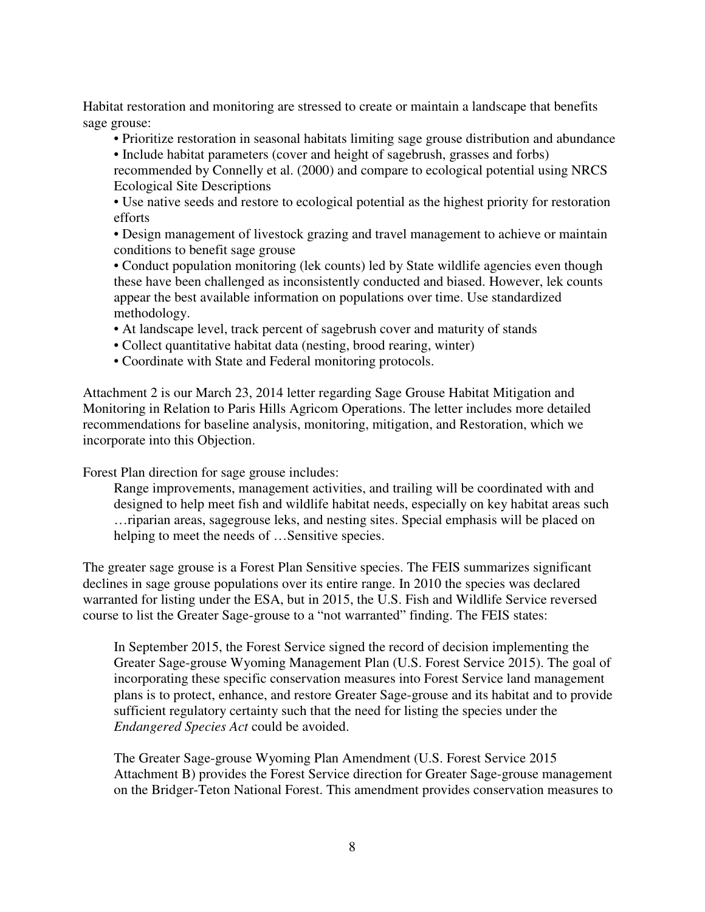Habitat restoration and monitoring are stressed to create or maintain a landscape that benefits sage grouse:

- Prioritize restoration in seasonal habitats limiting sage grouse distribution and abundance
- Include habitat parameters (cover and height of sagebrush, grasses and forbs)

recommended by Connelly et al. (2000) and compare to ecological potential using NRCS Ecological Site Descriptions

• Use native seeds and restore to ecological potential as the highest priority for restoration efforts

• Design management of livestock grazing and travel management to achieve or maintain conditions to benefit sage grouse

• Conduct population monitoring (lek counts) led by State wildlife agencies even though these have been challenged as inconsistently conducted and biased. However, lek counts appear the best available information on populations over time. Use standardized methodology.

- At landscape level, track percent of sagebrush cover and maturity of stands
- Collect quantitative habitat data (nesting, brood rearing, winter)
- Coordinate with State and Federal monitoring protocols.

Attachment 2 is our March 23, 2014 letter regarding Sage Grouse Habitat Mitigation and Monitoring in Relation to Paris Hills Agricom Operations. The letter includes more detailed recommendations for baseline analysis, monitoring, mitigation, and Restoration, which we incorporate into this Objection.

Forest Plan direction for sage grouse includes:

Range improvements, management activities, and trailing will be coordinated with and designed to help meet fish and wildlife habitat needs, especially on key habitat areas such …riparian areas, sagegrouse leks, and nesting sites. Special emphasis will be placed on helping to meet the needs of ...Sensitive species.

The greater sage grouse is a Forest Plan Sensitive species. The FEIS summarizes significant declines in sage grouse populations over its entire range. In 2010 the species was declared warranted for listing under the ESA, but in 2015, the U.S. Fish and Wildlife Service reversed course to list the Greater Sage-grouse to a "not warranted" finding. The FEIS states:

In September 2015, the Forest Service signed the record of decision implementing the Greater Sage-grouse Wyoming Management Plan (U.S. Forest Service 2015). The goal of incorporating these specific conservation measures into Forest Service land management plans is to protect, enhance, and restore Greater Sage-grouse and its habitat and to provide sufficient regulatory certainty such that the need for listing the species under the *Endangered Species Act* could be avoided.

The Greater Sage-grouse Wyoming Plan Amendment (U.S. Forest Service 2015 Attachment B) provides the Forest Service direction for Greater Sage-grouse management on the Bridger-Teton National Forest. This amendment provides conservation measures to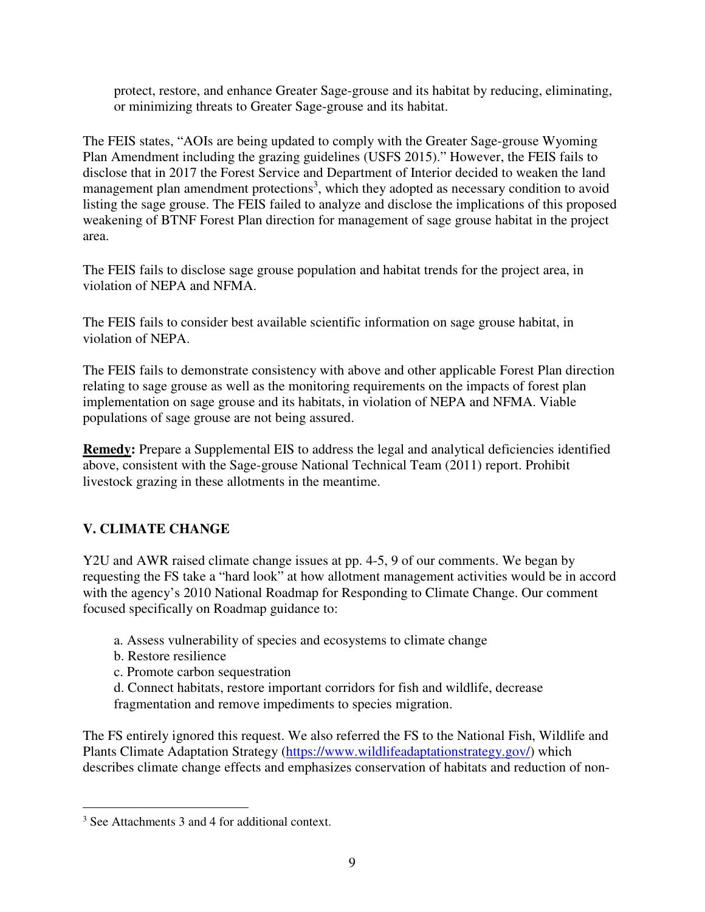protect, restore, and enhance Greater Sage-grouse and its habitat by reducing, eliminating, or minimizing threats to Greater Sage-grouse and its habitat.

The FEIS states, "AOIs are being updated to comply with the Greater Sage-grouse Wyoming Plan Amendment including the grazing guidelines (USFS 2015)." However, the FEIS fails to disclose that in 2017 the Forest Service and Department of Interior decided to weaken the land management plan amendment protections<sup>3</sup>, which they adopted as necessary condition to avoid listing the sage grouse. The FEIS failed to analyze and disclose the implications of this proposed weakening of BTNF Forest Plan direction for management of sage grouse habitat in the project area.

The FEIS fails to disclose sage grouse population and habitat trends for the project area, in violation of NEPA and NFMA.

The FEIS fails to consider best available scientific information on sage grouse habitat, in violation of NEPA.

The FEIS fails to demonstrate consistency with above and other applicable Forest Plan direction relating to sage grouse as well as the monitoring requirements on the impacts of forest plan implementation on sage grouse and its habitats, in violation of NEPA and NFMA. Viable populations of sage grouse are not being assured.

**Remedy:** Prepare a Supplemental EIS to address the legal and analytical deficiencies identified above, consistent with the Sage-grouse National Technical Team (2011) report. Prohibit livestock grazing in these allotments in the meantime.

### **V. CLIMATE CHANGE**

Y2U and AWR raised climate change issues at pp. 4-5, 9 of our comments. We began by requesting the FS take a "hard look" at how allotment management activities would be in accord with the agency's 2010 National Roadmap for Responding to Climate Change. Our comment focused specifically on Roadmap guidance to:

- a. Assess vulnerability of species and ecosystems to climate change
- b. Restore resilience
- c. Promote carbon sequestration
- d. Connect habitats, restore important corridors for fish and wildlife, decrease
- fragmentation and remove impediments to species migration.

The FS entirely ignored this request. We also referred the FS to the National Fish, Wildlife and Plants Climate Adaptation Strategy (https://www.wildlifeadaptationstrategy.gov/) which describes climate change effects and emphasizes conservation of habitats and reduction of non-

<sup>-</sup>3 See Attachments 3 and 4 for additional context.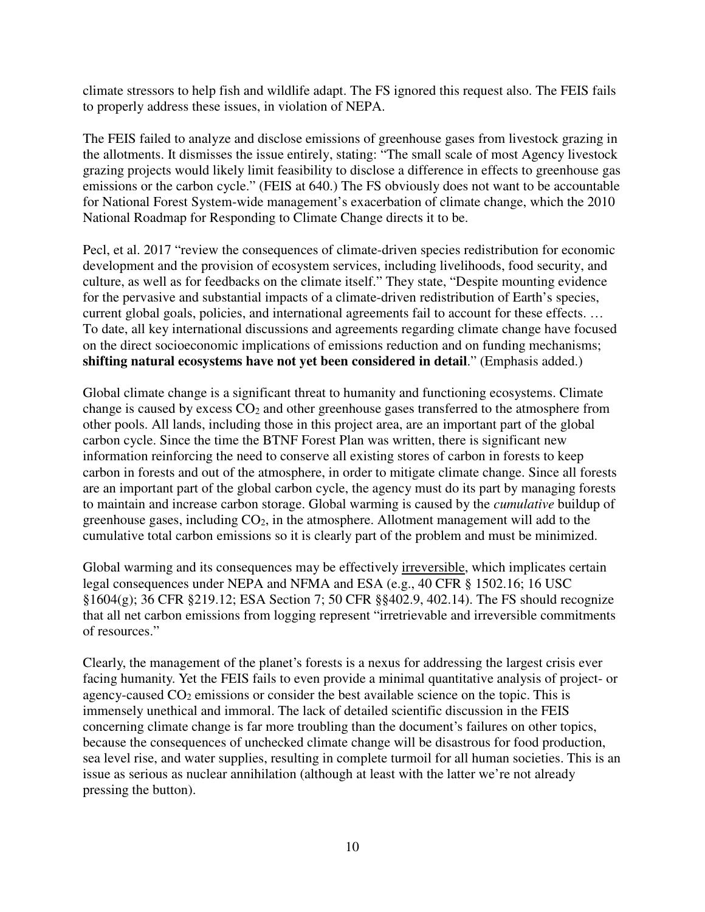climate stressors to help fish and wildlife adapt. The FS ignored this request also. The FEIS fails to properly address these issues, in violation of NEPA.

The FEIS failed to analyze and disclose emissions of greenhouse gases from livestock grazing in the allotments. It dismisses the issue entirely, stating: "The small scale of most Agency livestock grazing projects would likely limit feasibility to disclose a difference in effects to greenhouse gas emissions or the carbon cycle." (FEIS at 640.) The FS obviously does not want to be accountable for National Forest System-wide management's exacerbation of climate change, which the 2010 National Roadmap for Responding to Climate Change directs it to be.

Pecl, et al. 2017 "review the consequences of climate-driven species redistribution for economic development and the provision of ecosystem services, including livelihoods, food security, and culture, as well as for feedbacks on the climate itself." They state, "Despite mounting evidence for the pervasive and substantial impacts of a climate-driven redistribution of Earth's species, current global goals, policies, and international agreements fail to account for these effects. … To date, all key international discussions and agreements regarding climate change have focused on the direct socioeconomic implications of emissions reduction and on funding mechanisms; **shifting natural ecosystems have not yet been considered in detail**." (Emphasis added.)

Global climate change is a significant threat to humanity and functioning ecosystems. Climate change is caused by excess  $CO<sub>2</sub>$  and other greenhouse gases transferred to the atmosphere from other pools. All lands, including those in this project area, are an important part of the global carbon cycle. Since the time the BTNF Forest Plan was written, there is significant new information reinforcing the need to conserve all existing stores of carbon in forests to keep carbon in forests and out of the atmosphere, in order to mitigate climate change. Since all forests are an important part of the global carbon cycle, the agency must do its part by managing forests to maintain and increase carbon storage. Global warming is caused by the *cumulative* buildup of greenhouse gases, including  $CO<sub>2</sub>$ , in the atmosphere. Allotment management will add to the cumulative total carbon emissions so it is clearly part of the problem and must be minimized.

Global warming and its consequences may be effectively irreversible, which implicates certain legal consequences under NEPA and NFMA and ESA (e.g., 40 CFR § 1502.16; 16 USC §1604(g); 36 CFR §219.12; ESA Section 7; 50 CFR §§402.9, 402.14). The FS should recognize that all net carbon emissions from logging represent "irretrievable and irreversible commitments of resources."

Clearly, the management of the planet's forests is a nexus for addressing the largest crisis ever facing humanity. Yet the FEIS fails to even provide a minimal quantitative analysis of project- or agency-caused  $CO<sub>2</sub>$  emissions or consider the best available science on the topic. This is immensely unethical and immoral. The lack of detailed scientific discussion in the FEIS concerning climate change is far more troubling than the document's failures on other topics, because the consequences of unchecked climate change will be disastrous for food production, sea level rise, and water supplies, resulting in complete turmoil for all human societies. This is an issue as serious as nuclear annihilation (although at least with the latter we're not already pressing the button).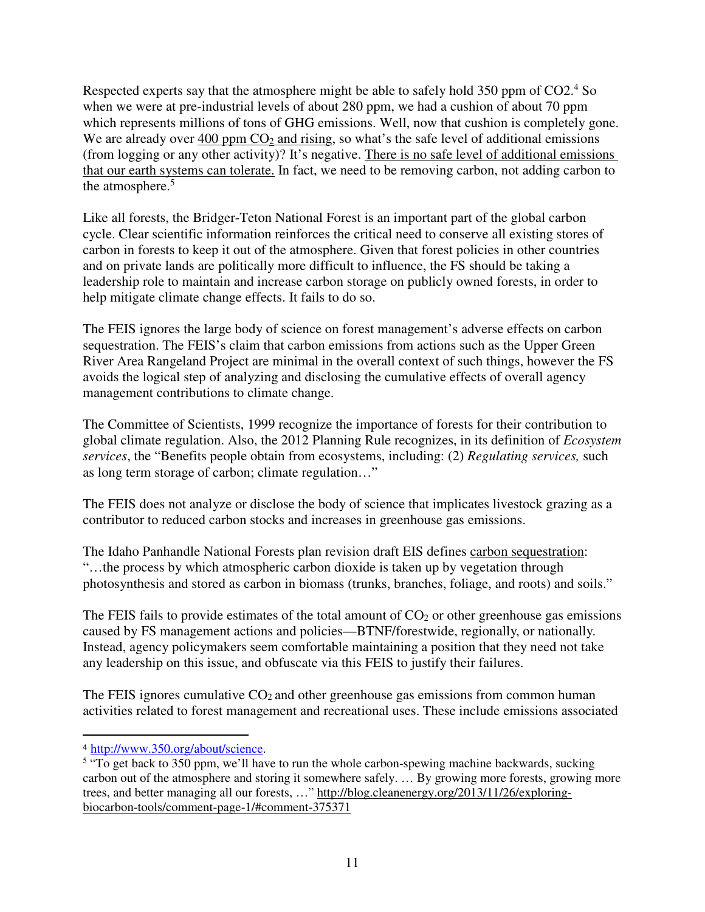Respected experts say that the atmosphere might be able to safely hold 350 ppm of CO2.<sup>4</sup> So when we were at pre-industrial levels of about 280 ppm, we had a cushion of about 70 ppm which represents millions of tons of GHG emissions. Well, now that cushion is completely gone. We are already over 400 ppm  $CO<sub>2</sub>$  and rising, so what's the safe level of additional emissions (from logging or any other activity)? It's negative. There is no safe level of additional emissions that our earth systems can tolerate. In fact, we need to be removing carbon, not adding carbon to the atmosphere.<sup>5</sup>

Like all forests, the Bridger-Teton National Forest is an important part of the global carbon cycle. Clear scientific information reinforces the critical need to conserve all existing stores of carbon in forests to keep it out of the atmosphere. Given that forest policies in other countries and on private lands are politically more difficult to influence, the FS should be taking a leadership role to maintain and increase carbon storage on publicly owned forests, in order to help mitigate climate change effects. It fails to do so.

The FEIS ignores the large body of science on forest management's adverse effects on carbon sequestration. The FEIS's claim that carbon emissions from actions such as the Upper Green River Area Rangeland Project are minimal in the overall context of such things, however the FS avoids the logical step of analyzing and disclosing the cumulative effects of overall agency management contributions to climate change.

The Committee of Scientists, 1999 recognize the importance of forests for their contribution to global climate regulation. Also, the 2012 Planning Rule recognizes, in its definition of *Ecosystem services*, the "Benefits people obtain from ecosystems, including: (2) *Regulating services,* such as long term storage of carbon; climate regulation…"

The FEIS does not analyze or disclose the body of science that implicates livestock grazing as a contributor to reduced carbon stocks and increases in greenhouse gas emissions.

The Idaho Panhandle National Forests plan revision draft EIS defines carbon sequestration: "…the process by which atmospheric carbon dioxide is taken up by vegetation through photosynthesis and stored as carbon in biomass (trunks, branches, foliage, and roots) and soils."

The FEIS fails to provide estimates of the total amount of  $CO<sub>2</sub>$  or other greenhouse gas emissions caused by FS management actions and policies—BTNF/forestwide, regionally, or nationally. Instead, agency policymakers seem comfortable maintaining a position that they need not take any leadership on this issue, and obfuscate via this FEIS to justify their failures.

The FEIS ignores cumulative  $CO<sub>2</sub>$  and other greenhouse gas emissions from common human activities related to forest management and recreational uses. These include emissions associated

<sup>-</sup><sup>4</sup> http://www.350.org/about/science.

<sup>&</sup>lt;sup>5</sup> "To get back to 350 ppm, we'll have to run the whole carbon-spewing machine backwards, sucking carbon out of the atmosphere and storing it somewhere safely. … By growing more forests, growing more trees, and better managing all our forests, …" http://blog.cleanenergy.org/2013/11/26/exploringbiocarbon-tools/comment-page-1/#comment-375371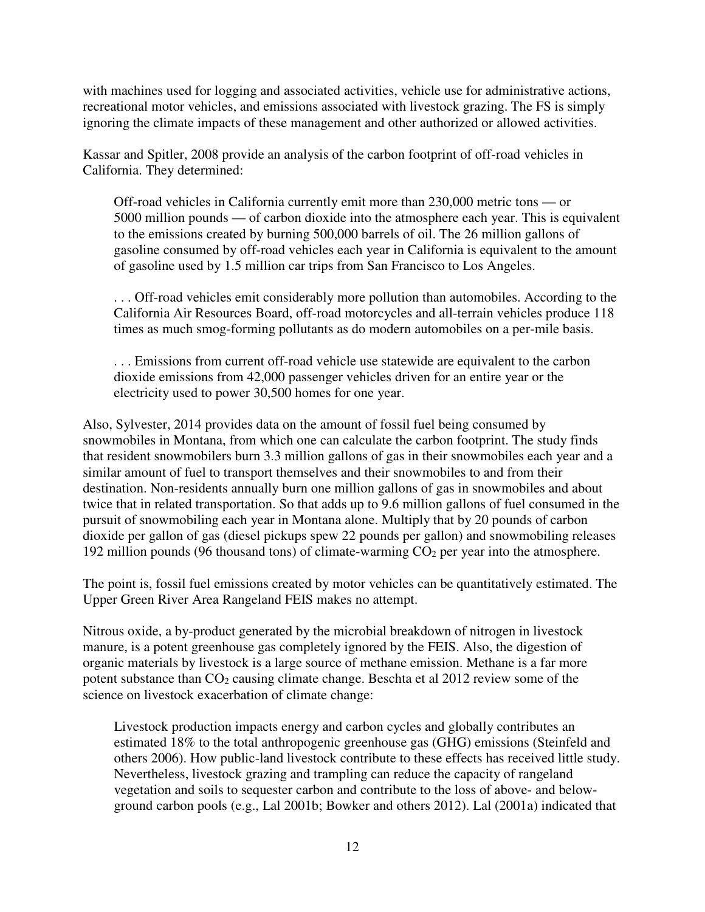with machines used for logging and associated activities, vehicle use for administrative actions, recreational motor vehicles, and emissions associated with livestock grazing. The FS is simply ignoring the climate impacts of these management and other authorized or allowed activities.

Kassar and Spitler, 2008 provide an analysis of the carbon footprint of off-road vehicles in California. They determined:

Off-road vehicles in California currently emit more than 230,000 metric tons — or 5000 million pounds — of carbon dioxide into the atmosphere each year. This is equivalent to the emissions created by burning 500,000 barrels of oil. The 26 million gallons of gasoline consumed by off-road vehicles each year in California is equivalent to the amount of gasoline used by 1.5 million car trips from San Francisco to Los Angeles.

. . . Off-road vehicles emit considerably more pollution than automobiles. According to the California Air Resources Board, off-road motorcycles and all-terrain vehicles produce 118 times as much smog-forming pollutants as do modern automobiles on a per-mile basis.

. . . Emissions from current off-road vehicle use statewide are equivalent to the carbon dioxide emissions from 42,000 passenger vehicles driven for an entire year or the electricity used to power 30,500 homes for one year.

Also, Sylvester, 2014 provides data on the amount of fossil fuel being consumed by snowmobiles in Montana, from which one can calculate the carbon footprint. The study finds that resident snowmobilers burn 3.3 million gallons of gas in their snowmobiles each year and a similar amount of fuel to transport themselves and their snowmobiles to and from their destination. Non-residents annually burn one million gallons of gas in snowmobiles and about twice that in related transportation. So that adds up to 9.6 million gallons of fuel consumed in the pursuit of snowmobiling each year in Montana alone. Multiply that by 20 pounds of carbon dioxide per gallon of gas (diesel pickups spew 22 pounds per gallon) and snowmobiling releases 192 million pounds (96 thousand tons) of climate-warming  $CO<sub>2</sub>$  per year into the atmosphere.

The point is, fossil fuel emissions created by motor vehicles can be quantitatively estimated. The Upper Green River Area Rangeland FEIS makes no attempt.

Nitrous oxide, a by-product generated by the microbial breakdown of nitrogen in livestock manure, is a potent greenhouse gas completely ignored by the FEIS. Also, the digestion of organic materials by livestock is a large source of methane emission. Methane is a far more potent substance than  $CO<sub>2</sub>$  causing climate change. Beschta et al 2012 review some of the science on livestock exacerbation of climate change:

Livestock production impacts energy and carbon cycles and globally contributes an estimated 18% to the total anthropogenic greenhouse gas (GHG) emissions (Steinfeld and others 2006). How public-land livestock contribute to these effects has received little study. Nevertheless, livestock grazing and trampling can reduce the capacity of rangeland vegetation and soils to sequester carbon and contribute to the loss of above- and belowground carbon pools (e.g., Lal 2001b; Bowker and others 2012). Lal (2001a) indicated that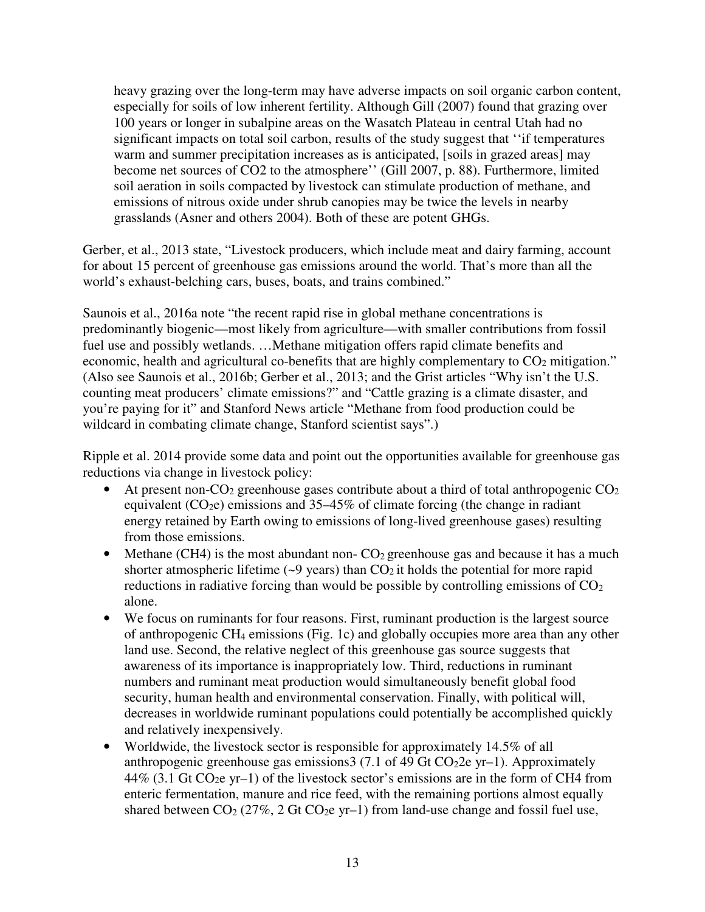heavy grazing over the long-term may have adverse impacts on soil organic carbon content, especially for soils of low inherent fertility. Although Gill (2007) found that grazing over 100 years or longer in subalpine areas on the Wasatch Plateau in central Utah had no significant impacts on total soil carbon, results of the study suggest that ''if temperatures warm and summer precipitation increases as is anticipated, [soils in grazed areas] may become net sources of CO2 to the atmosphere'' (Gill 2007, p. 88). Furthermore, limited soil aeration in soils compacted by livestock can stimulate production of methane, and emissions of nitrous oxide under shrub canopies may be twice the levels in nearby grasslands (Asner and others 2004). Both of these are potent GHGs.

Gerber, et al., 2013 state, "Livestock producers, which include meat and dairy farming, account for about 15 percent of greenhouse gas emissions around the world. That's more than all the world's exhaust-belching cars, buses, boats, and trains combined."

Saunois et al., 2016a note "the recent rapid rise in global methane concentrations is predominantly biogenic—most likely from agriculture—with smaller contributions from fossil fuel use and possibly wetlands. …Methane mitigation offers rapid climate benefits and economic, health and agricultural co-benefits that are highly complementary to  $CO<sub>2</sub>$  mitigation." (Also see Saunois et al., 2016b; Gerber et al., 2013; and the Grist articles "Why isn't the U.S. counting meat producers' climate emissions?" and "Cattle grazing is a climate disaster, and you're paying for it" and Stanford News article "Methane from food production could be wildcard in combating climate change, Stanford scientist says".)

Ripple et al. 2014 provide some data and point out the opportunities available for greenhouse gas reductions via change in livestock policy:

- At present non- $CO_2$  greenhouse gases contribute about a third of total anthropogenic  $CO_2$ equivalent  $(CO<sub>2</sub>e)$  emissions and 35–45% of climate forcing (the change in radiant energy retained by Earth owing to emissions of long-lived greenhouse gases) resulting from those emissions.
- Methane (CH4) is the most abundant non- $CO<sub>2</sub>$  greenhouse gas and because it has a much shorter atmospheric lifetime  $(\sim 9 \text{ years})$  than  $CO_2$  it holds the potential for more rapid reductions in radiative forcing than would be possible by controlling emissions of  $CO<sub>2</sub>$ alone.
- We focus on ruminants for four reasons. First, ruminant production is the largest source of anthropogenic CH4 emissions (Fig. 1c) and globally occupies more area than any other land use. Second, the relative neglect of this greenhouse gas source suggests that awareness of its importance is inappropriately low. Third, reductions in ruminant numbers and ruminant meat production would simultaneously benefit global food security, human health and environmental conservation. Finally, with political will, decreases in worldwide ruminant populations could potentially be accomplished quickly and relatively inexpensively.
- Worldwide, the livestock sector is responsible for approximately 14.5% of all anthropogenic greenhouse gas emissions  $3(7.1 \text{ of } 49 \text{ Gt})$  CO<sub>2</sub>2e yr–1). Approximately  $44\%$  (3.1 Gt CO<sub>2</sub>e yr-1) of the livestock sector's emissions are in the form of CH4 from enteric fermentation, manure and rice feed, with the remaining portions almost equally shared between  $CO_2$  (27%, 2 Gt  $CO_2$ e yr-1) from land-use change and fossil fuel use,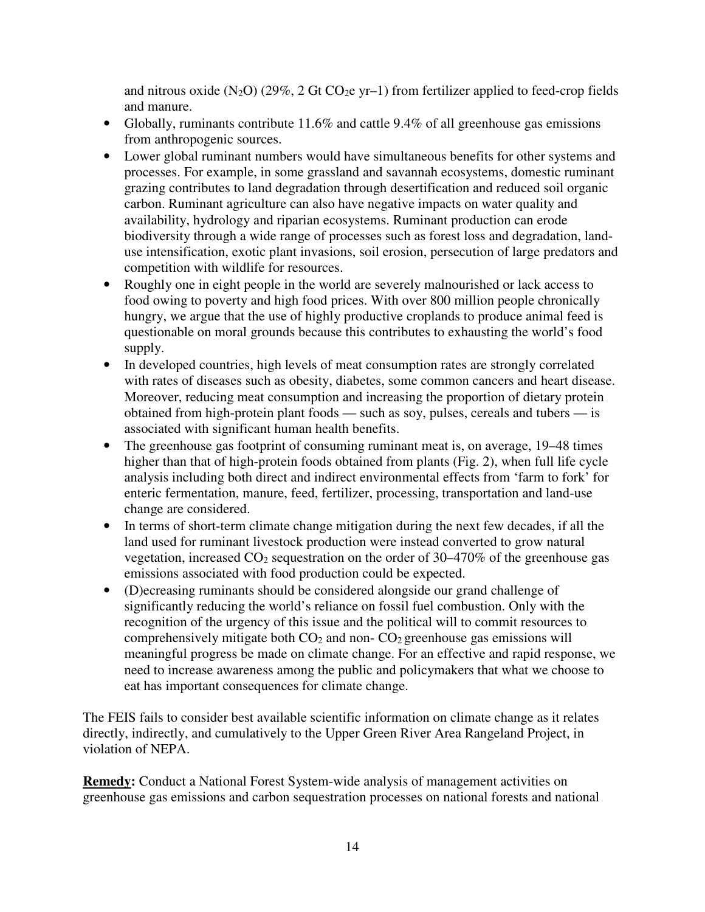and nitrous oxide  $(N_2O)$  (29%, 2 Gt CO<sub>2</sub>e yr–1) from fertilizer applied to feed-crop fields and manure.

- Globally, ruminants contribute 11.6% and cattle 9.4% of all greenhouse gas emissions from anthropogenic sources.
- Lower global ruminant numbers would have simultaneous benefits for other systems and processes. For example, in some grassland and savannah ecosystems, domestic ruminant grazing contributes to land degradation through desertification and reduced soil organic carbon. Ruminant agriculture can also have negative impacts on water quality and availability, hydrology and riparian ecosystems. Ruminant production can erode biodiversity through a wide range of processes such as forest loss and degradation, landuse intensification, exotic plant invasions, soil erosion, persecution of large predators and competition with wildlife for resources.
- Roughly one in eight people in the world are severely malnourished or lack access to food owing to poverty and high food prices. With over 800 million people chronically hungry, we argue that the use of highly productive croplands to produce animal feed is questionable on moral grounds because this contributes to exhausting the world's food supply.
- In developed countries, high levels of meat consumption rates are strongly correlated with rates of diseases such as obesity, diabetes, some common cancers and heart disease. Moreover, reducing meat consumption and increasing the proportion of dietary protein obtained from high-protein plant foods — such as soy, pulses, cereals and tubers — is associated with significant human health benefits.
- The greenhouse gas footprint of consuming ruminant meat is, on average, 19–48 times higher than that of high-protein foods obtained from plants (Fig. 2), when full life cycle analysis including both direct and indirect environmental effects from 'farm to fork' for enteric fermentation, manure, feed, fertilizer, processing, transportation and land-use change are considered.
- In terms of short-term climate change mitigation during the next few decades, if all the land used for ruminant livestock production were instead converted to grow natural vegetation, increased  $CO<sub>2</sub>$  sequestration on the order of 30–470% of the greenhouse gas emissions associated with food production could be expected.
- (D)ecreasing ruminants should be considered alongside our grand challenge of significantly reducing the world's reliance on fossil fuel combustion. Only with the recognition of the urgency of this issue and the political will to commit resources to comprehensively mitigate both  $CO<sub>2</sub>$  and non- $CO<sub>2</sub>$  greenhouse gas emissions will meaningful progress be made on climate change. For an effective and rapid response, we need to increase awareness among the public and policymakers that what we choose to eat has important consequences for climate change.

The FEIS fails to consider best available scientific information on climate change as it relates directly, indirectly, and cumulatively to the Upper Green River Area Rangeland Project, in violation of NEPA.

**Remedy:** Conduct a National Forest System-wide analysis of management activities on greenhouse gas emissions and carbon sequestration processes on national forests and national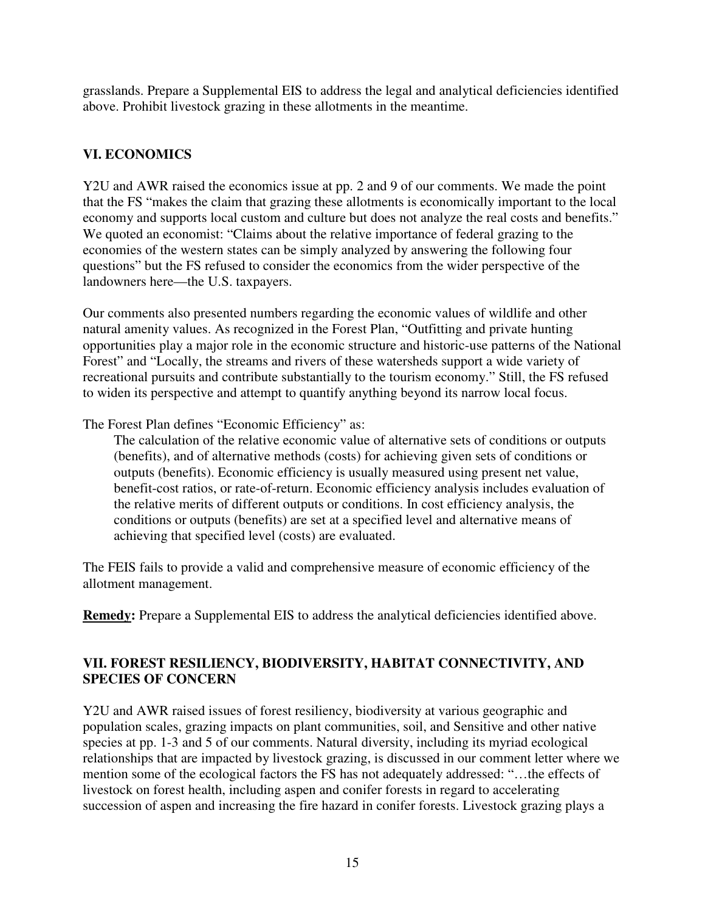grasslands. Prepare a Supplemental EIS to address the legal and analytical deficiencies identified above. Prohibit livestock grazing in these allotments in the meantime.

### **VI. ECONOMICS**

Y2U and AWR raised the economics issue at pp. 2 and 9 of our comments. We made the point that the FS "makes the claim that grazing these allotments is economically important to the local economy and supports local custom and culture but does not analyze the real costs and benefits." We quoted an economist: "Claims about the relative importance of federal grazing to the economies of the western states can be simply analyzed by answering the following four questions" but the FS refused to consider the economics from the wider perspective of the landowners here—the U.S. taxpayers.

Our comments also presented numbers regarding the economic values of wildlife and other natural amenity values. As recognized in the Forest Plan, "Outfitting and private hunting opportunities play a major role in the economic structure and historic-use patterns of the National Forest" and "Locally, the streams and rivers of these watersheds support a wide variety of recreational pursuits and contribute substantially to the tourism economy." Still, the FS refused to widen its perspective and attempt to quantify anything beyond its narrow local focus.

The Forest Plan defines "Economic Efficiency" as:

The calculation of the relative economic value of alternative sets of conditions or outputs (benefits), and of alternative methods (costs) for achieving given sets of conditions or outputs (benefits). Economic efficiency is usually measured using present net value, benefit-cost ratios, or rate-of-return. Economic efficiency analysis includes evaluation of the relative merits of different outputs or conditions. In cost efficiency analysis, the conditions or outputs (benefits) are set at a specified level and alternative means of achieving that specified level (costs) are evaluated.

The FEIS fails to provide a valid and comprehensive measure of economic efficiency of the allotment management.

**Remedy:** Prepare a Supplemental EIS to address the analytical deficiencies identified above.

#### **VII. FOREST RESILIENCY, BIODIVERSITY, HABITAT CONNECTIVITY, AND SPECIES OF CONCERN**

Y2U and AWR raised issues of forest resiliency, biodiversity at various geographic and population scales, grazing impacts on plant communities, soil, and Sensitive and other native species at pp. 1-3 and 5 of our comments. Natural diversity, including its myriad ecological relationships that are impacted by livestock grazing, is discussed in our comment letter where we mention some of the ecological factors the FS has not adequately addressed: "…the effects of livestock on forest health, including aspen and conifer forests in regard to accelerating succession of aspen and increasing the fire hazard in conifer forests. Livestock grazing plays a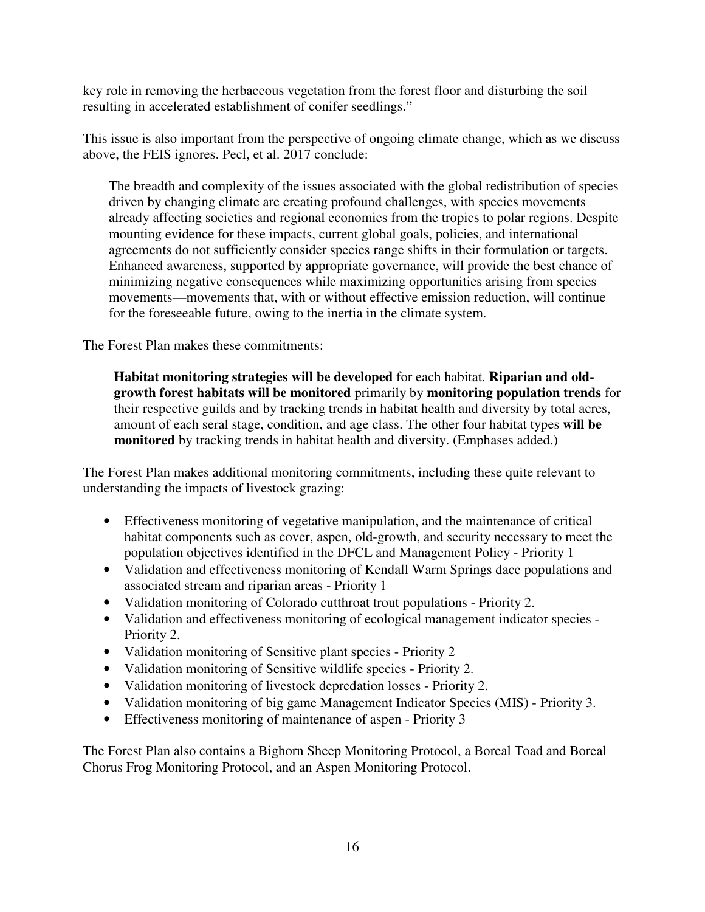key role in removing the herbaceous vegetation from the forest floor and disturbing the soil resulting in accelerated establishment of conifer seedlings."

This issue is also important from the perspective of ongoing climate change, which as we discuss above, the FEIS ignores. Pecl, et al. 2017 conclude:

The breadth and complexity of the issues associated with the global redistribution of species driven by changing climate are creating profound challenges, with species movements already affecting societies and regional economies from the tropics to polar regions. Despite mounting evidence for these impacts, current global goals, policies, and international agreements do not sufficiently consider species range shifts in their formulation or targets. Enhanced awareness, supported by appropriate governance, will provide the best chance of minimizing negative consequences while maximizing opportunities arising from species movements—movements that, with or without effective emission reduction, will continue for the foreseeable future, owing to the inertia in the climate system.

The Forest Plan makes these commitments:

**Habitat monitoring strategies will be developed** for each habitat. **Riparian and oldgrowth forest habitats will be monitored** primarily by **monitoring population trends** for their respective guilds and by tracking trends in habitat health and diversity by total acres, amount of each seral stage, condition, and age class. The other four habitat types **will be monitored** by tracking trends in habitat health and diversity. (Emphases added.)

The Forest Plan makes additional monitoring commitments, including these quite relevant to understanding the impacts of livestock grazing:

- Effectiveness monitoring of vegetative manipulation, and the maintenance of critical habitat components such as cover, aspen, old-growth, and security necessary to meet the population objectives identified in the DFCL and Management Policy - Priority 1
- Validation and effectiveness monitoring of Kendall Warm Springs dace populations and associated stream and riparian areas - Priority 1
- Validation monitoring of Colorado cutthroat trout populations Priority 2.
- Validation and effectiveness monitoring of ecological management indicator species Priority 2.
- Validation monitoring of Sensitive plant species Priority 2
- Validation monitoring of Sensitive wildlife species Priority 2.
- Validation monitoring of livestock depredation losses Priority 2.
- Validation monitoring of big game Management Indicator Species (MIS) Priority 3.
- Effectiveness monitoring of maintenance of aspen Priority 3

The Forest Plan also contains a Bighorn Sheep Monitoring Protocol, a Boreal Toad and Boreal Chorus Frog Monitoring Protocol, and an Aspen Monitoring Protocol.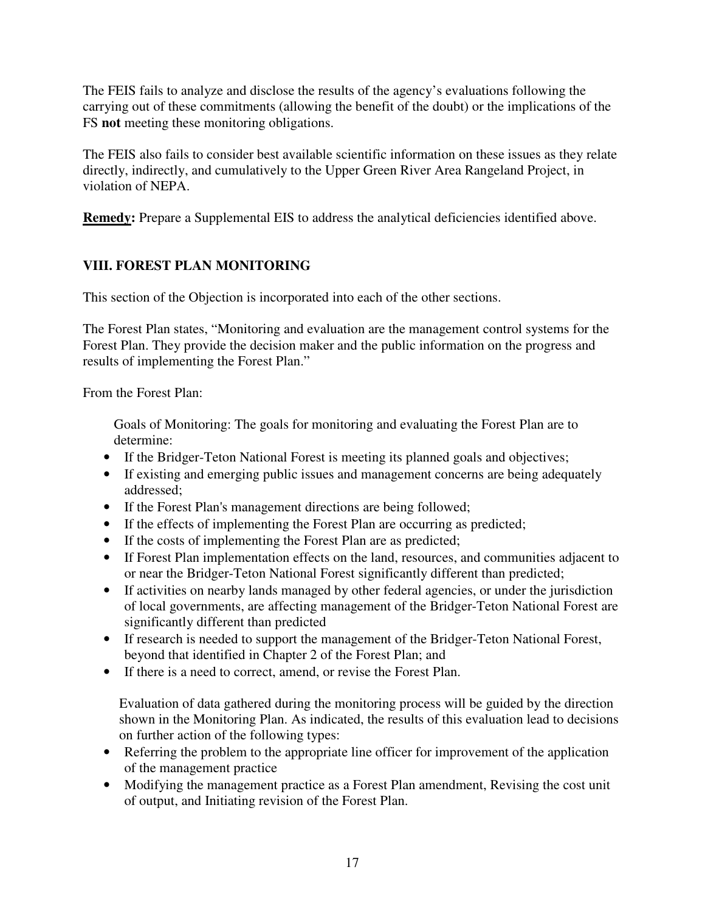The FEIS fails to analyze and disclose the results of the agency's evaluations following the carrying out of these commitments (allowing the benefit of the doubt) or the implications of the FS **not** meeting these monitoring obligations.

The FEIS also fails to consider best available scientific information on these issues as they relate directly, indirectly, and cumulatively to the Upper Green River Area Rangeland Project, in violation of NEPA.

**Remedy:** Prepare a Supplemental EIS to address the analytical deficiencies identified above.

## **VIII. FOREST PLAN MONITORING**

This section of the Objection is incorporated into each of the other sections.

The Forest Plan states, "Monitoring and evaluation are the management control systems for the Forest Plan. They provide the decision maker and the public information on the progress and results of implementing the Forest Plan."

From the Forest Plan:

Goals of Monitoring: The goals for monitoring and evaluating the Forest Plan are to determine:

- If the Bridger-Teton National Forest is meeting its planned goals and objectives;
- If existing and emerging public issues and management concerns are being adequately addressed;
- If the Forest Plan's management directions are being followed;
- If the effects of implementing the Forest Plan are occurring as predicted;
- If the costs of implementing the Forest Plan are as predicted;
- If Forest Plan implementation effects on the land, resources, and communities adjacent to or near the Bridger-Teton National Forest significantly different than predicted;
- If activities on nearby lands managed by other federal agencies, or under the jurisdiction of local governments, are affecting management of the Bridger-Teton National Forest are significantly different than predicted
- If research is needed to support the management of the Bridger-Teton National Forest, beyond that identified in Chapter 2 of the Forest Plan; and
- If there is a need to correct, amend, or revise the Forest Plan.

Evaluation of data gathered during the monitoring process will be guided by the direction shown in the Monitoring Plan. As indicated, the results of this evaluation lead to decisions on further action of the following types:

- Referring the problem to the appropriate line officer for improvement of the application of the management practice
- Modifying the management practice as a Forest Plan amendment, Revising the cost unit of output, and Initiating revision of the Forest Plan.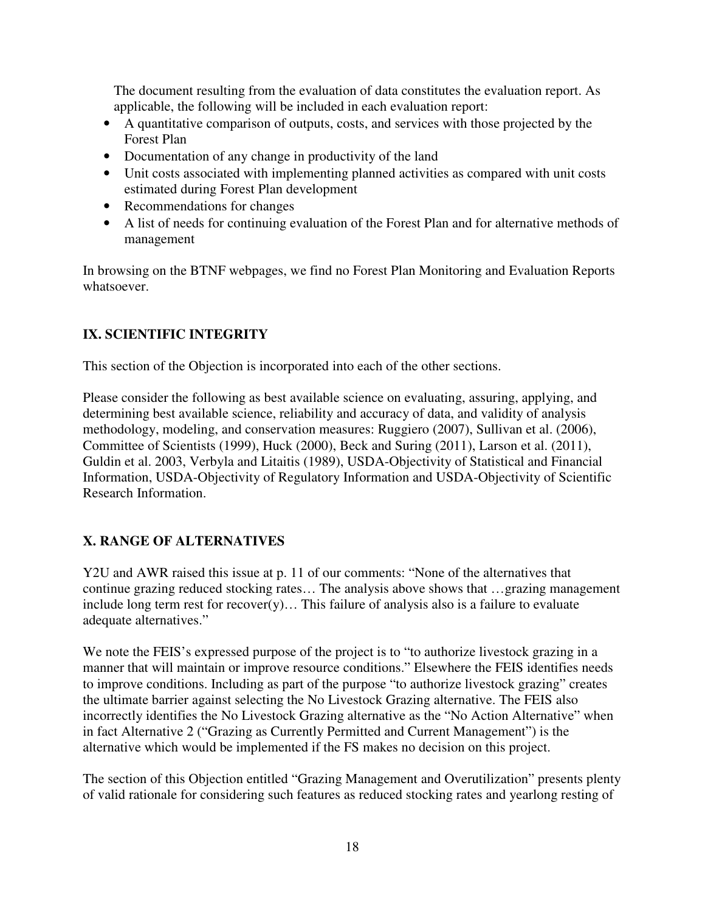The document resulting from the evaluation of data constitutes the evaluation report. As applicable, the following will be included in each evaluation report:

- A quantitative comparison of outputs, costs, and services with those projected by the Forest Plan
- Documentation of any change in productivity of the land
- Unit costs associated with implementing planned activities as compared with unit costs estimated during Forest Plan development
- Recommendations for changes
- A list of needs for continuing evaluation of the Forest Plan and for alternative methods of management

In browsing on the BTNF webpages, we find no Forest Plan Monitoring and Evaluation Reports whatsoever.

### **IX. SCIENTIFIC INTEGRITY**

This section of the Objection is incorporated into each of the other sections.

Please consider the following as best available science on evaluating, assuring, applying, and determining best available science, reliability and accuracy of data, and validity of analysis methodology, modeling, and conservation measures: Ruggiero (2007), Sullivan et al. (2006), Committee of Scientists (1999), Huck (2000), Beck and Suring (2011), Larson et al. (2011), Guldin et al. 2003, Verbyla and Litaitis (1989), USDA-Objectivity of Statistical and Financial Information, USDA-Objectivity of Regulatory Information and USDA-Objectivity of Scientific Research Information.

### **X. RANGE OF ALTERNATIVES**

Y2U and AWR raised this issue at p. 11 of our comments: "None of the alternatives that continue grazing reduced stocking rates… The analysis above shows that …grazing management include long term rest for recover(y)... This failure of analysis also is a failure to evaluate adequate alternatives."

We note the FEIS's expressed purpose of the project is to "to authorize livestock grazing in a manner that will maintain or improve resource conditions." Elsewhere the FEIS identifies needs to improve conditions. Including as part of the purpose "to authorize livestock grazing" creates the ultimate barrier against selecting the No Livestock Grazing alternative. The FEIS also incorrectly identifies the No Livestock Grazing alternative as the "No Action Alternative" when in fact Alternative 2 ("Grazing as Currently Permitted and Current Management") is the alternative which would be implemented if the FS makes no decision on this project.

The section of this Objection entitled "Grazing Management and Overutilization" presents plenty of valid rationale for considering such features as reduced stocking rates and yearlong resting of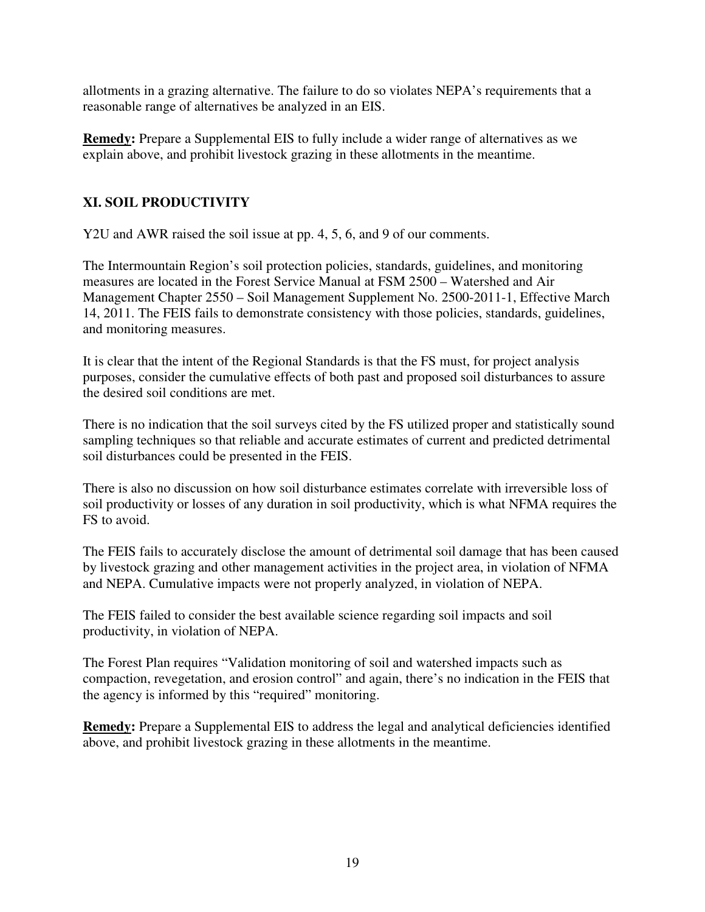allotments in a grazing alternative. The failure to do so violates NEPA's requirements that a reasonable range of alternatives be analyzed in an EIS.

**Remedy:** Prepare a Supplemental EIS to fully include a wider range of alternatives as we explain above, and prohibit livestock grazing in these allotments in the meantime.

### **XI. SOIL PRODUCTIVITY**

Y2U and AWR raised the soil issue at pp. 4, 5, 6, and 9 of our comments.

The Intermountain Region's soil protection policies, standards, guidelines, and monitoring measures are located in the Forest Service Manual at FSM 2500 – Watershed and Air Management Chapter 2550 – Soil Management Supplement No. 2500-2011-1, Effective March 14, 2011. The FEIS fails to demonstrate consistency with those policies, standards, guidelines, and monitoring measures.

It is clear that the intent of the Regional Standards is that the FS must, for project analysis purposes, consider the cumulative effects of both past and proposed soil disturbances to assure the desired soil conditions are met.

There is no indication that the soil surveys cited by the FS utilized proper and statistically sound sampling techniques so that reliable and accurate estimates of current and predicted detrimental soil disturbances could be presented in the FEIS.

There is also no discussion on how soil disturbance estimates correlate with irreversible loss of soil productivity or losses of any duration in soil productivity, which is what NFMA requires the FS to avoid.

The FEIS fails to accurately disclose the amount of detrimental soil damage that has been caused by livestock grazing and other management activities in the project area, in violation of NFMA and NEPA. Cumulative impacts were not properly analyzed, in violation of NEPA.

The FEIS failed to consider the best available science regarding soil impacts and soil productivity, in violation of NEPA.

The Forest Plan requires "Validation monitoring of soil and watershed impacts such as compaction, revegetation, and erosion control" and again, there's no indication in the FEIS that the agency is informed by this "required" monitoring.

**Remedy:** Prepare a Supplemental EIS to address the legal and analytical deficiencies identified above, and prohibit livestock grazing in these allotments in the meantime.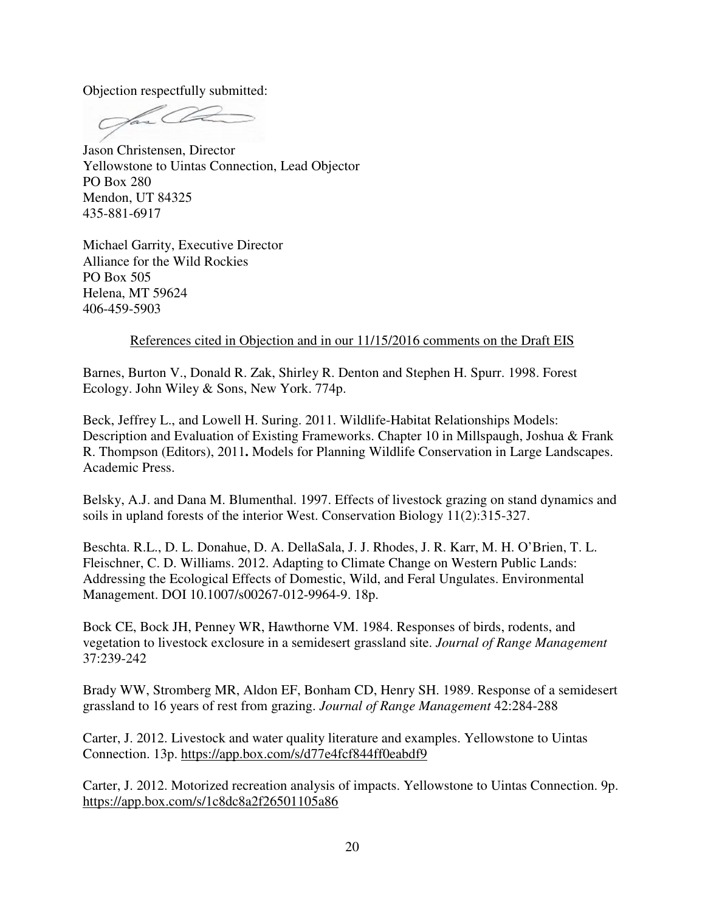Objection respectfully submitted:

Jason Christensen, Director Yellowstone to Uintas Connection, Lead Objector PO Box 280 Mendon, UT 84325 435-881-6917

Michael Garrity, Executive Director Alliance for the Wild Rockies PO Box 505 Helena, MT 59624 406-459-5903

#### References cited in Objection and in our 11/15/2016 comments on the Draft EIS

Barnes, Burton V., Donald R. Zak, Shirley R. Denton and Stephen H. Spurr. 1998. Forest Ecology. John Wiley & Sons, New York. 774p.

Beck, Jeffrey L., and Lowell H. Suring. 2011. Wildlife-Habitat Relationships Models: Description and Evaluation of Existing Frameworks. Chapter 10 in Millspaugh, Joshua & Frank R. Thompson (Editors), 2011**.** Models for Planning Wildlife Conservation in Large Landscapes. Academic Press.

Belsky, A.J. and Dana M. Blumenthal. 1997. Effects of livestock grazing on stand dynamics and soils in upland forests of the interior West. Conservation Biology 11(2):315-327.

Beschta. R.L., D. L. Donahue, D. A. DellaSala, J. J. Rhodes, J. R. Karr, M. H. O'Brien, T. L. Fleischner, C. D. Williams. 2012. Adapting to Climate Change on Western Public Lands: Addressing the Ecological Effects of Domestic, Wild, and Feral Ungulates. Environmental Management. DOI 10.1007/s00267-012-9964-9. 18p.

Bock CE, Bock JH, Penney WR, Hawthorne VM. 1984. Responses of birds, rodents, and vegetation to livestock exclosure in a semidesert grassland site. *Journal of Range Management*  37:239-242

Brady WW, Stromberg MR, Aldon EF, Bonham CD, Henry SH. 1989. Response of a semidesert grassland to 16 years of rest from grazing. *Journal of Range Management* 42:284-288

Carter, J. 2012. Livestock and water quality literature and examples. Yellowstone to Uintas Connection. 13p. https://app.box.com/s/d77e4fcf844ff0eabdf9

Carter, J. 2012. Motorized recreation analysis of impacts. Yellowstone to Uintas Connection. 9p. https://app.box.com/s/1c8dc8a2f26501105a86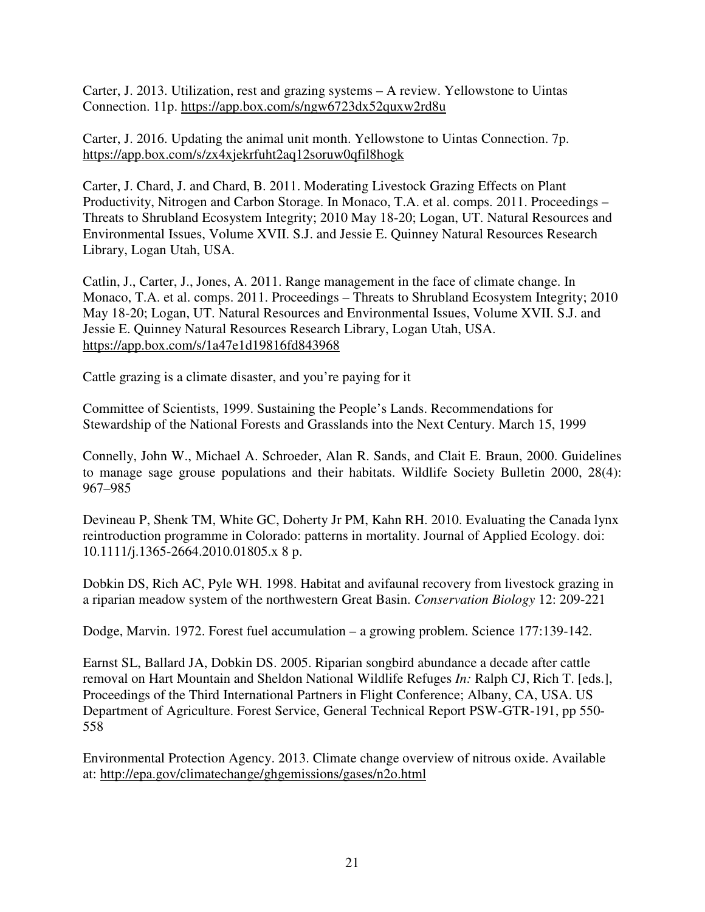Carter, J. 2013. Utilization, rest and grazing systems – A review. Yellowstone to Uintas Connection. 11p. https://app.box.com/s/ngw6723dx52quxw2rd8u

Carter, J. 2016. Updating the animal unit month. Yellowstone to Uintas Connection. 7p. https://app.box.com/s/zx4xjekrfuht2aq12soruw0qfil8hogk

Carter, J. Chard, J. and Chard, B. 2011. Moderating Livestock Grazing Effects on Plant Productivity, Nitrogen and Carbon Storage. In Monaco, T.A. et al. comps. 2011. Proceedings – Threats to Shrubland Ecosystem Integrity; 2010 May 18-20; Logan, UT. Natural Resources and Environmental Issues, Volume XVII. S.J. and Jessie E. Quinney Natural Resources Research Library, Logan Utah, USA.

Catlin, J., Carter, J., Jones, A. 2011. Range management in the face of climate change. In Monaco, T.A. et al. comps. 2011. Proceedings – Threats to Shrubland Ecosystem Integrity; 2010 May 18-20; Logan, UT. Natural Resources and Environmental Issues, Volume XVII. S.J. and Jessie E. Quinney Natural Resources Research Library, Logan Utah, USA. https://app.box.com/s/1a47e1d19816fd843968

Cattle grazing is a climate disaster, and you're paying for it

Committee of Scientists, 1999. Sustaining the People's Lands. Recommendations for Stewardship of the National Forests and Grasslands into the Next Century. March 15, 1999

Connelly, John W., Michael A. Schroeder, Alan R. Sands, and Clait E. Braun, 2000. Guidelines to manage sage grouse populations and their habitats. Wildlife Society Bulletin 2000, 28(4): 967–985

Devineau P, Shenk TM, White GC, Doherty Jr PM, Kahn RH. 2010. Evaluating the Canada lynx reintroduction programme in Colorado: patterns in mortality. Journal of Applied Ecology. doi: 10.1111/j.1365-2664.2010.01805.x 8 p.

Dobkin DS, Rich AC, Pyle WH. 1998. Habitat and avifaunal recovery from livestock grazing in a riparian meadow system of the northwestern Great Basin. *Conservation Biology* 12: 209-221

Dodge, Marvin. 1972. Forest fuel accumulation – a growing problem. Science 177:139-142.

Earnst SL, Ballard JA, Dobkin DS. 2005. Riparian songbird abundance a decade after cattle removal on Hart Mountain and Sheldon National Wildlife Refuges *In:* Ralph CJ, Rich T. [eds.], Proceedings of the Third International Partners in Flight Conference; Albany, CA, USA. US Department of Agriculture. Forest Service, General Technical Report PSW-GTR-191, pp 550- 558

Environmental Protection Agency. 2013. Climate change overview of nitrous oxide. Available at: http://epa.gov/climatechange/ghgemissions/gases/n2o.html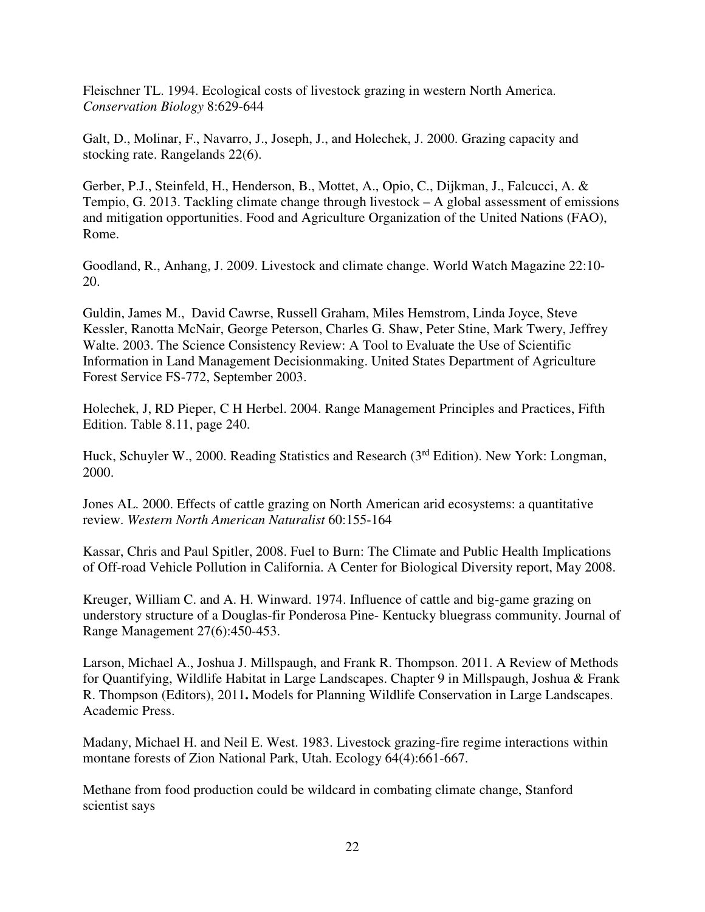Fleischner TL. 1994. Ecological costs of livestock grazing in western North America. *Conservation Biology* 8:629-644

Galt, D., Molinar, F., Navarro, J., Joseph, J., and Holechek, J. 2000. Grazing capacity and stocking rate. Rangelands 22(6).

Gerber, P.J., Steinfeld, H., Henderson, B., Mottet, A., Opio, C., Dijkman, J., Falcucci, A. & Tempio, G. 2013. Tackling climate change through livestock – A global assessment of emissions and mitigation opportunities. Food and Agriculture Organization of the United Nations (FAO), Rome.

Goodland, R., Anhang, J. 2009. Livestock and climate change. World Watch Magazine 22:10- 20.

Guldin, James M., David Cawrse, Russell Graham, Miles Hemstrom, Linda Joyce, Steve Kessler, Ranotta McNair, George Peterson, Charles G. Shaw, Peter Stine, Mark Twery, Jeffrey Walte. 2003. The Science Consistency Review: A Tool to Evaluate the Use of Scientific Information in Land Management Decisionmaking. United States Department of Agriculture Forest Service FS-772, September 2003.

Holechek, J, RD Pieper, C H Herbel. 2004. Range Management Principles and Practices, Fifth Edition. Table 8.11, page 240.

Huck, Schuyler W., 2000. Reading Statistics and Research (3<sup>rd</sup> Edition). New York: Longman, 2000.

Jones AL. 2000. Effects of cattle grazing on North American arid ecosystems: a quantitative review. *Western North American Naturalist* 60:155-164

Kassar, Chris and Paul Spitler, 2008. Fuel to Burn: The Climate and Public Health Implications of Off-road Vehicle Pollution in California. A Center for Biological Diversity report, May 2008.

Kreuger, William C. and A. H. Winward. 1974. Influence of cattle and big-game grazing on understory structure of a Douglas-fir Ponderosa Pine- Kentucky bluegrass community. Journal of Range Management 27(6):450-453.

Larson, Michael A., Joshua J. Millspaugh, and Frank R. Thompson. 2011. A Review of Methods for Quantifying, Wildlife Habitat in Large Landscapes. Chapter 9 in Millspaugh, Joshua & Frank R. Thompson (Editors), 2011**.** Models for Planning Wildlife Conservation in Large Landscapes. Academic Press.

Madany, Michael H. and Neil E. West. 1983. Livestock grazing-fire regime interactions within montane forests of Zion National Park, Utah. Ecology 64(4):661-667.

Methane from food production could be wildcard in combating climate change, Stanford scientist says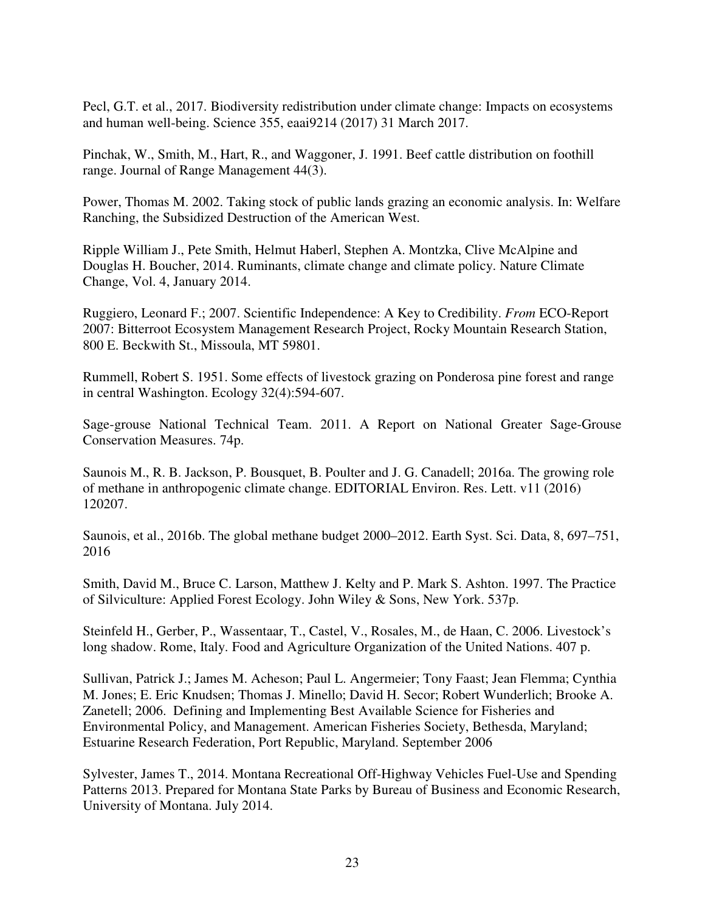Pecl, G.T. et al., 2017. Biodiversity redistribution under climate change: Impacts on ecosystems and human well-being. Science 355, eaai9214 (2017) 31 March 2017.

Pinchak, W., Smith, M., Hart, R., and Waggoner, J. 1991. Beef cattle distribution on foothill range. Journal of Range Management 44(3).

Power, Thomas M. 2002. Taking stock of public lands grazing an economic analysis. In: Welfare Ranching, the Subsidized Destruction of the American West.

Ripple William J., Pete Smith, Helmut Haberl, Stephen A. Montzka, Clive McAlpine and Douglas H. Boucher, 2014. Ruminants, climate change and climate policy. Nature Climate Change, Vol. 4, January 2014.

Ruggiero, Leonard F.; 2007. Scientific Independence: A Key to Credibility. *From* ECO-Report 2007: Bitterroot Ecosystem Management Research Project, Rocky Mountain Research Station, 800 E. Beckwith St., Missoula, MT 59801.

Rummell, Robert S. 1951. Some effects of livestock grazing on Ponderosa pine forest and range in central Washington. Ecology 32(4):594-607.

Sage-grouse National Technical Team. 2011. A Report on National Greater Sage-Grouse Conservation Measures. 74p.

Saunois M., R. B. Jackson, P. Bousquet, B. Poulter and J. G. Canadell; 2016a. The growing role of methane in anthropogenic climate change. EDITORIAL Environ. Res. Lett. v11 (2016) 120207.

Saunois, et al., 2016b. The global methane budget 2000–2012. Earth Syst. Sci. Data, 8, 697–751, 2016

Smith, David M., Bruce C. Larson, Matthew J. Kelty and P. Mark S. Ashton. 1997. The Practice of Silviculture: Applied Forest Ecology. John Wiley & Sons, New York. 537p.

Steinfeld H., Gerber, P., Wassentaar, T., Castel, V., Rosales, M., de Haan, C. 2006. Livestock's long shadow. Rome, Italy. Food and Agriculture Organization of the United Nations. 407 p.

Sullivan, Patrick J.; James M. Acheson; Paul L. Angermeier; Tony Faast; Jean Flemma; Cynthia M. Jones; E. Eric Knudsen; Thomas J. Minello; David H. Secor; Robert Wunderlich; Brooke A. Zanetell; 2006. Defining and Implementing Best Available Science for Fisheries and Environmental Policy, and Management. American Fisheries Society, Bethesda, Maryland; Estuarine Research Federation, Port Republic, Maryland. September 2006

Sylvester, James T., 2014. Montana Recreational Off-Highway Vehicles Fuel-Use and Spending Patterns 2013. Prepared for Montana State Parks by Bureau of Business and Economic Research, University of Montana. July 2014.